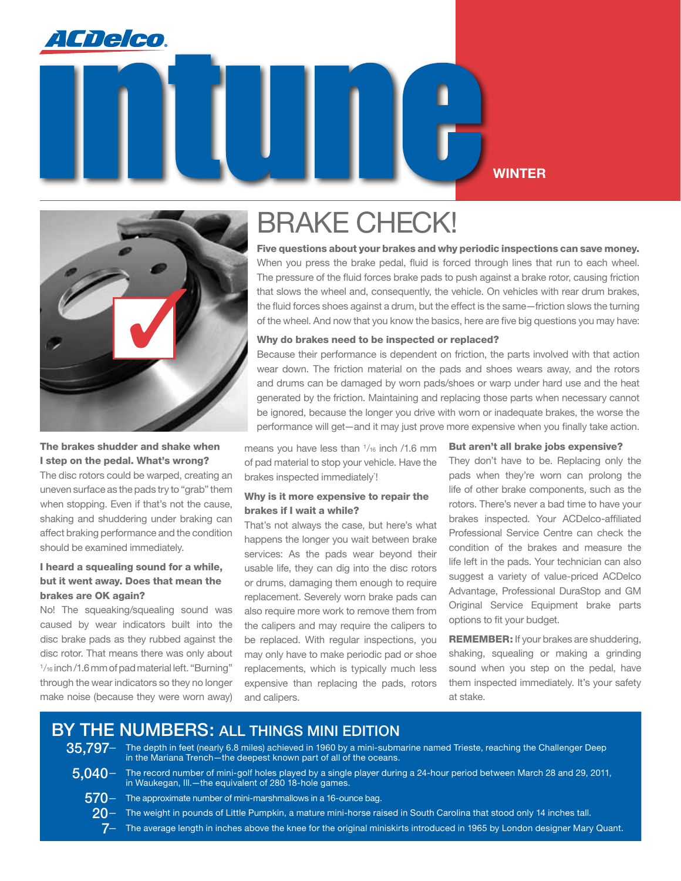

### **Winter**



#### The brakes shudder and shake when I step on the pedal. What's wrong?

The disc rotors could be warped, creating an uneven surface as the pads try to "grab" them when stopping. Even if that's not the cause, shaking and shuddering under braking can affect braking performance and the condition should be examined immediately.

#### I heard a squealing sound for a while, but it went away. Does that mean the brakes are OK again?

No! The squeaking/squealing sound was caused by wear indicators built into the disc brake pads as they rubbed against the disc rotor. That means there was only about 1/<sub>16</sub> inch/1.6 mm of pad material left. "Burning" through the wear indicators so they no longer make noise (because they were worn away)

# BRAKE CHECK!

Five questions about your brakes and why periodic inspections can save money. When you press the brake pedal, fluid is forced through lines that run to each wheel. The pressure of the fluid forces brake pads to push against a brake rotor, causing friction that slows the wheel and, consequently, the vehicle. On vehicles with rear drum brakes, the fluid forces shoes against a drum, but the effect is the same—friction slows the turning of the wheel. And now that you know the basics, here are five big questions you may have:

#### Why do brakes need to be inspected or replaced?

Because their performance is dependent on friction, the parts involved with that action wear down. The friction material on the pads and shoes wears away, and the rotors and drums can be damaged by worn pads/shoes or warp under hard use and the heat generated by the friction. Maintaining and replacing those parts when necessary cannot be ignored, because the longer you drive with worn or inadequate brakes, the worse the performance will get—and it may just prove more expensive when you finally take action.

means you have less than  $1/16$  inch /1.6 mm of pad material to stop your vehicle. Have the brakes inspected immediately'!

#### Why is it more expensive to repair the brakes if I wait a while?

That's not always the case, but here's what happens the longer you wait between brake services: As the pads wear beyond their usable life, they can dig into the disc rotors or drums, damaging them enough to require replacement. Severely worn brake pads can also require more work to remove them from the calipers and may require the calipers to be replaced. With regular inspections, you may only have to make periodic pad or shoe replacements, which is typically much less expensive than replacing the pads, rotors and calipers.

#### But aren't all brake jobs expensive?

They don't have to be. Replacing only the pads when they're worn can prolong the life of other brake components, such as the rotors. There's never a bad time to have your brakes inspected. Your ACDelco-affiliated Professional Service Centre can check the condition of the brakes and measure the life left in the pads. Your technician can also suggest a variety of value-priced ACDelco Advantage, Professional DuraStop and GM Original Service Equipment brake parts options to fit your budget.

REMEMBER: If your brakes are shuddering, shaking, squealing or making a grinding sound when you step on the pedal, have them inspected immediately. It's your safety at stake.

### BY THE NUMBERS: All things mini edition

- 35,797- The depth in feet (nearly 6.8 miles) achieved in 1960 by a mini-submarine named Trieste, reaching the Challenger Deep in the Mariana Trench—the deepest known part of all of the oceans.
	-
- $5.040-$  The record number of mini-golf holes played by a single player during a 24-hour period between March 28 and 29, 2011, in Waukegan, Ill.—the equivalent of 280 18-hole games.
	- $570-$  The approximate number of mini-marshmallows in a 16-ounce bag.
		- $20-$  The weight in pounds of Little Pumpkin, a mature mini-horse raised in South Carolina that stood only 14 inches tall.
			- $7-$  The average length in inches above the knee for the original miniskirts introduced in 1965 by London designer Mary Quant.